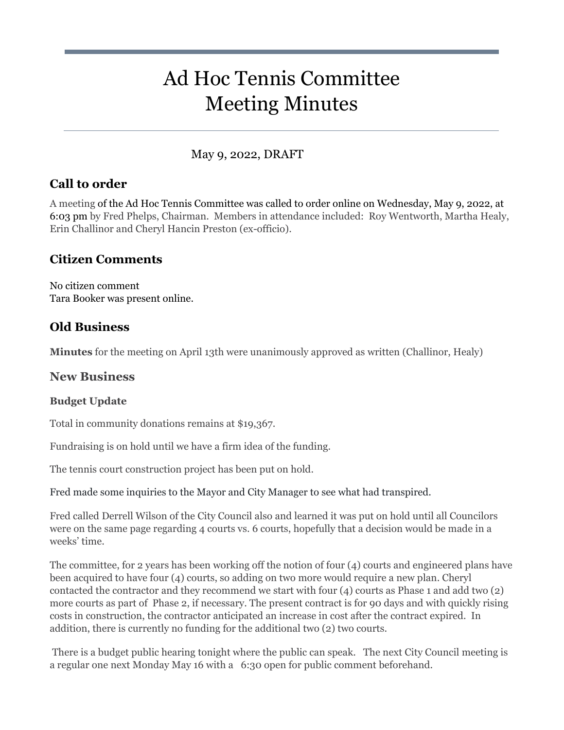# Ad Hoc Tennis Committee Meeting Minutes

## May 9, 2022, DRAFT

## **Call to order**

A meeting of the Ad Hoc Tennis Committee was called to order online on Wednesday, May 9, 2022, at 6:03 pm by Fred Phelps, Chairman. Members in attendance included: Roy Wentworth, Martha Healy, Erin Challinor and Cheryl Hancin Preston (ex-officio).

## **Citizen Comments**

No citizen comment Tara Booker was present online.

## **Old Business**

**Minutes** for the meeting on April 13th were unanimously approved as written (Challinor, Healy)

### **New Business**

### **Budget Update**

Total in community donations remains at \$19,367.

Fundraising is on hold until we have a firm idea of the funding.

The tennis court construction project has been put on hold.

Fred made some inquiries to the Mayor and City Manager to see what had transpired.

Fred called Derrell Wilson of the City Council also and learned it was put on hold until all Councilors were on the same page regarding 4 courts vs. 6 courts, hopefully that a decision would be made in a weeks' time.

The committee, for 2 years has been working off the notion of four (4) courts and engineered plans have been acquired to have four (4) courts, so adding on two more would require a new plan. Cheryl contacted the contractor and they recommend we start with four (4) courts as Phase 1 and add two (2) more courts as part of Phase 2, if necessary. The present contract is for 90 days and with quickly rising costs in construction, the contractor anticipated an increase in cost after the contract expired. In addition, there is currently no funding for the additional two (2) two courts.

 There is a budget public hearing tonight where the public can speak. The next City Council meeting is a regular one next Monday May 16 with a 6:30 open for public comment beforehand.